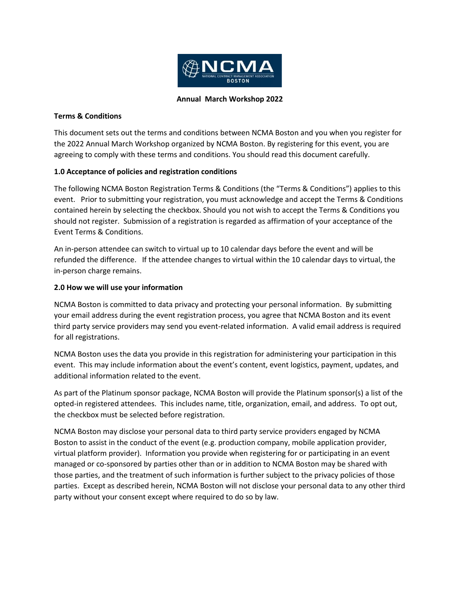

#### **Annual March Workshop 2022**

### **Terms & Conditions**

This document sets out the terms and conditions between NCMA Boston and you when you register for the 2022 Annual March Workshop organized by NCMA Boston. By registering for this event, you are agreeing to comply with these terms and conditions. You should read this document carefully.

## **1.0 Acceptance of policies and registration conditions**

The following NCMA Boston Registration Terms & Conditions (the "Terms & Conditions") applies to this event. Prior to submitting your registration, you must acknowledge and accept the Terms & Conditions contained herein by selecting the checkbox. Should you not wish to accept the Terms & Conditions you should not register. Submission of a registration is regarded as affirmation of your acceptance of the Event Terms & Conditions.

An in-person attendee can switch to virtual up to 10 calendar days before the event and will be refunded the difference. If the attendee changes to virtual within the 10 calendar days to virtual, the in-person charge remains.

## **2.0 How we will use your information**

NCMA Boston is committed to data privacy and protecting your personal information. By submitting your email address during the event registration process, you agree that NCMA Boston and its event third party service providers may send you event-related information. A valid email address is required for all registrations.

NCMA Boston uses the data you provide in this registration for administering your participation in this event. This may include information about the event's content, event logistics, payment, updates, and additional information related to the event.

As part of the Platinum sponsor package, NCMA Boston will provide the Platinum sponsor(s) a list of the opted-in registered attendees. This includes name, title, organization, email, and address. To opt out, the checkbox must be selected before registration.

NCMA Boston may disclose your personal data to third party service providers engaged by NCMA Boston to assist in the conduct of the event (e.g. production company, mobile application provider, virtual platform provider). Information you provide when registering for or participating in an event managed or co-sponsored by parties other than or in addition to NCMA Boston may be shared with those parties, and the treatment of such information is further subject to the privacy policies of those parties. Except as described herein, NCMA Boston will not disclose your personal data to any other third party without your consent except where required to do so by law.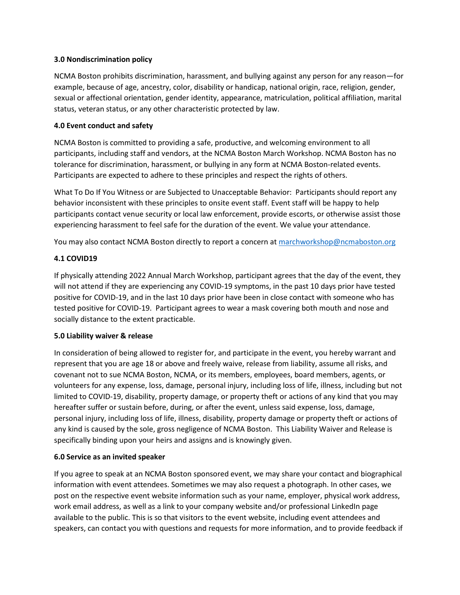### **3.0 Nondiscrimination policy**

NCMA Boston prohibits discrimination, harassment, and bullying against any person for any reason—for example, because of age, ancestry, color, disability or handicap, national origin, race, religion, gender, sexual or affectional orientation, gender identity, appearance, matriculation, political affiliation, marital status, veteran status, or any other characteristic protected by law.

# **4.0 Event conduct and safety**

NCMA Boston is committed to providing a safe, productive, and welcoming environment to all participants, including staff and vendors, at the NCMA Boston March Workshop. NCMA Boston has no tolerance for discrimination, harassment, or bullying in any form at NCMA Boston-related events. Participants are expected to adhere to these principles and respect the rights of others.

What To Do If You Witness or are Subjected to Unacceptable Behavior: Participants should report any behavior inconsistent with these principles to onsite event staff. Event staff will be happy to help participants contact venue security or local law enforcement, provide escorts, or otherwise assist those experiencing harassment to feel safe for the duration of the event. We value your attendance.

You may also contact NCMA Boston directly to report a concern at [marchworkshop@ncmaboston.org](mailto:marchworkshop@ncmaboston.org)

# **4.1 COVID19**

If physically attending 2022 Annual March Workshop, participant agrees that the day of the event, they will not attend if they are experiencing any COVID-19 symptoms, in the past 10 days prior have tested positive for COVID-19, and in the last 10 days prior have been in close contact with someone who has tested positive for COVID-19. Participant agrees to wear a mask covering both mouth and nose and socially distance to the extent practicable.

### **5.0 Liability waiver & release**

In consideration of being allowed to register for, and participate in the event, you hereby warrant and represent that you are age 18 or above and freely waive, release from liability, assume all risks, and covenant not to sue NCMA Boston, NCMA, or its members, employees, board members, agents, or volunteers for any expense, loss, damage, personal injury, including loss of life, illness, including but not limited to COVID-19, disability, property damage, or property theft or actions of any kind that you may hereafter suffer or sustain before, during, or after the event, unless said expense, loss, damage, personal injury, including loss of life, illness, disability, property damage or property theft or actions of any kind is caused by the sole, gross negligence of NCMA Boston. This Liability Waiver and Release is specifically binding upon your heirs and assigns and is knowingly given.

# **6.0 Service as an invited speaker**

If you agree to speak at an NCMA Boston sponsored event, we may share your contact and biographical information with event attendees. Sometimes we may also request a photograph. In other cases, we post on the respective event website information such as your name, employer, physical work address, work email address, as well as a link to your company website and/or professional LinkedIn page available to the public. This is so that visitors to the event website, including event attendees and speakers, can contact you with questions and requests for more information, and to provide feedback if